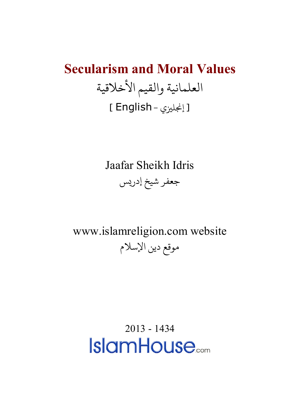## **Secularism and Moral Values** العلمانية والقيم الأخلاقية [ إنجليزي - English ]

Jaafar Sheikh Idris

جعفر شيخ إدريس

www.islamreligion.com website موقع دين الإسلام

> [2013](http://www.islamhouse.com/) - 1434**IslamHouse**...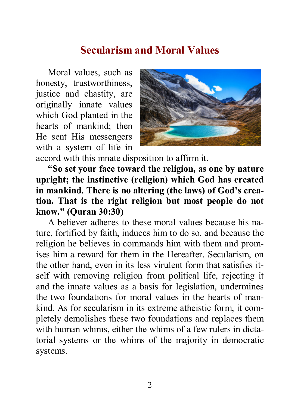## **Secularism and Moral Values**

Moral values, such as honesty, trustworthiness, justice and chastity, are originally innate values which God planted in the hearts of mankind; then He sent His messengers with a system of life in



accord with this innate disposition to affirm it.

**"So set your face toward the religion, as one by nature upright; the instinctive (religion) which God has created in mankind. There is no altering (the laws) of God's creation. That is the right religion but most people do not know." (Quran 30:30)**

A believer adheres to these moral values because his nature, fortified by faith, induces him to do so, and because the religion he believes in commands him with them and promises him a reward for them in the Hereafter. Secularism, on the other hand, even in its less virulent form that satisfies itself with removing religion from political life, rejecting it and the innate values as a basis for legislation, undermines the two foundations for moral values in the hearts of mankind. As for secularism in its extreme atheistic form, it completely demolishes these two foundations and replaces them with human whims, either the whims of a few rulers in dictatorial systems or the whims of the majority in democratic systems.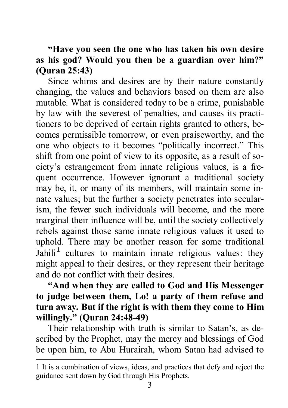## **"Have you seen the one who has taken his own desire as his god? Would you then be a guardian over him?" (Quran 25:43)**

Since whims and desires are by their nature constantly changing, the values and behaviors based on them are also mutable. What is considered today to be a crime, punishable by law with the severest of penalties, and causes its practitioners to be deprived of certain rights granted to others, becomes permissible tomorrow, or even praiseworthy, and the one who objects to it becomes "politically incorrect." This shift from one point of view to its opposite, as a result of society's estrangement from innate religious values, is a frequent occurrence. However ignorant a traditional society may be, it, or many of its members, will maintain some innate values; but the further a society penetrates into secularism, the fewer such individuals will become, and the more marginal their influence will be, until the society collectively rebels against those same innate religious values it used to uphold. There may be another reason for some traditional Jahili<sup>[1](#page-2-0)</sup> cultures to maintain innate religious values: they might appeal to their desires, or they represent their heritage and do not conflict with their desires.

## **"And when they are called to God and His Messenger to judge between them, Lo! a party of them refuse and turn away. But if the right is with them they come to Him willingly." (Quran 24:48-49)**

Their relationship with truth is similar to Satan's, as described by the Prophet, may the mercy and blessings of God be upon him, to Abu Hurairah, whom Satan had advised to

-

<span id="page-2-0"></span><sup>1</sup> It is a combination of views, ideas, and practices that defy and reject the guidance sent down by God through His Prophets.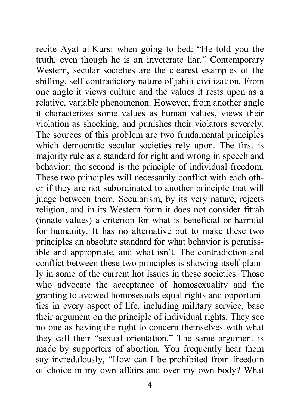recite Ayat al-Kursi when going to bed: "He told you the truth, even though he is an inveterate liar." Contemporary Western, secular societies are the clearest examples of the shifting, self-contradictory nature of jahili civilization. From one angle it views culture and the values it rests upon as a relative, variable phenomenon. However, from another angle it characterizes some values as human values, views their violation as shocking, and punishes their violators severely. The sources of this problem are two fundamental principles which democratic secular societies rely upon. The first is majority rule as a standard for right and wrong in speech and behavior; the second is the principle of individual freedom. These two principles will necessarily conflict with each other if they are not subordinated to another principle that will judge between them. Secularism, by its very nature, rejects religion, and in its Western form it does not consider fitrah (innate values) a criterion for what is beneficial or harmful for humanity. It has no alternative but to make these two principles an absolute standard for what behavior is permissible and appropriate, and what isn't. The contradiction and conflict between these two principles is showing itself plainly in some of the current hot issues in these societies. Those who advocate the acceptance of homosexuality and the granting to avowed homosexuals equal rights and opportunities in every aspect of life, including military service, base their argument on the principle of individual rights. They see no one as having the right to concern themselves with what they call their "sexual orientation." The same argument is made by supporters of abortion. You frequently hear them say incredulously, "How can I be prohibited from freedom of choice in my own affairs and over my own body? What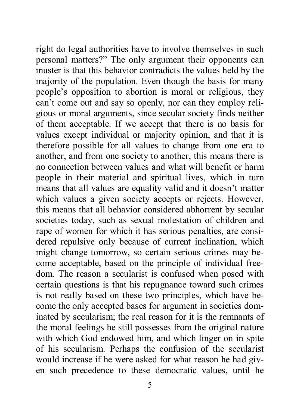right do legal authorities have to involve themselves in such personal matters?" The only argument their opponents can muster is that this behavior contradicts the values held by the majority of the population. Even though the basis for many people's opposition to abortion is moral or religious, they can't come out and say so openly, nor can they employ religious or moral arguments, since secular society finds neither of them acceptable. If we accept that there is no basis for values except individual or majority opinion, and that it is therefore possible for all values to change from one era to another, and from one society to another, this means there is no connection between values and what will benefit or harm people in their material and spiritual lives, which in turn means that all values are equality valid and it doesn't matter which values a given society accepts or rejects. However, this means that all behavior considered abhorrent by secular societies today, such as sexual molestation of children and rape of women for which it has serious penalties, are considered repulsive only because of current inclination, which might change tomorrow, so certain serious crimes may become acceptable, based on the principle of individual freedom. The reason a secularist is confused when posed with certain questions is that his repugnance toward such crimes is not really based on these two principles, which have become the only accepted bases for argument in societies dominated by secularism; the real reason for it is the remnants of the moral feelings he still possesses from the original nature with which God endowed him, and which linger on in spite of his secularism. Perhaps the confusion of the secularist would increase if he were asked for what reason he had given such precedence to these democratic values, until he